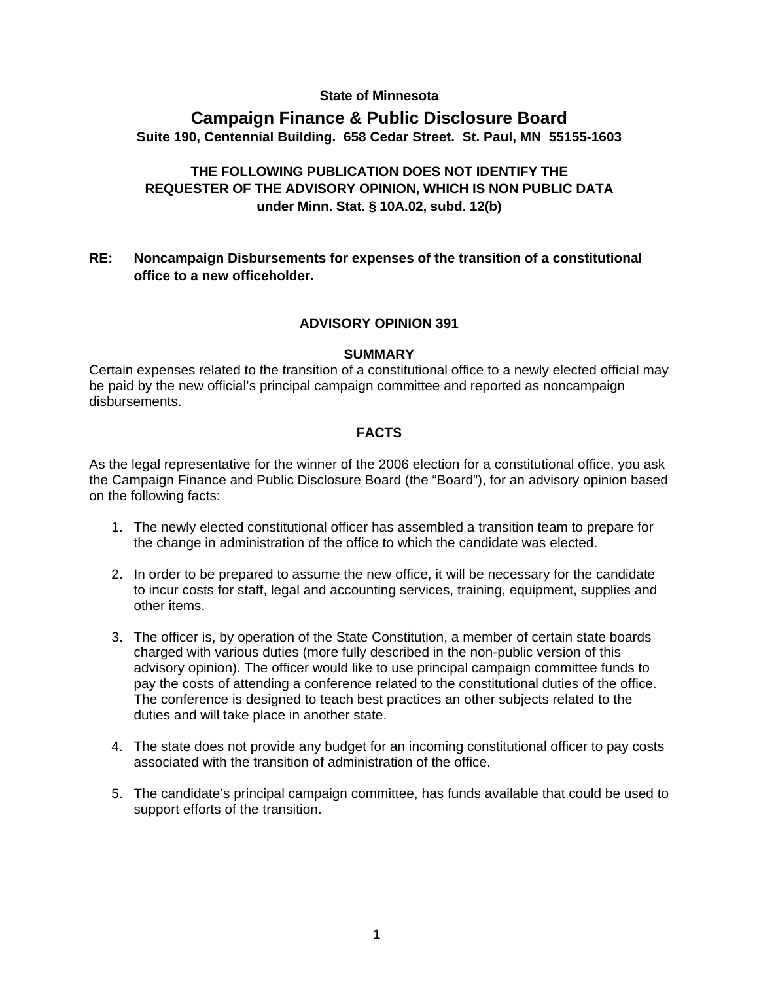## **State of Minnesota**

# **Campaign Finance & Public Disclosure Board Suite 190, Centennial Building. 658 Cedar Street. St. Paul, MN 55155-1603**

# **THE FOLLOWING PUBLICATION DOES NOT IDENTIFY THE REQUESTER OF THE ADVISORY OPINION, WHICH IS NON PUBLIC DATA under Minn. Stat. § 10A.02, subd. 12(b)**

## **RE: Noncampaign Disbursements for expenses of the transition of a constitutional office to a new officeholder.**

## **ADVISORY OPINION 391**

### **SUMMARY**

Certain expenses related to the transition of a constitutional office to a newly elected official may be paid by the new official's principal campaign committee and reported as noncampaign disbursements.

## **FACTS**

As the legal representative for the winner of the 2006 election for a constitutional office, you ask the Campaign Finance and Public Disclosure Board (the "Board"), for an advisory opinion based on the following facts:

- 1. The newly elected constitutional officer has assembled a transition team to prepare for the change in administration of the office to which the candidate was elected.
- 2. In order to be prepared to assume the new office, it will be necessary for the candidate to incur costs for staff, legal and accounting services, training, equipment, supplies and other items.
- 3. The officer is, by operation of the State Constitution, a member of certain state boards charged with various duties (more fully described in the non-public version of this advisory opinion). The officer would like to use principal campaign committee funds to pay the costs of attending a conference related to the constitutional duties of the office. The conference is designed to teach best practices an other subjects related to the duties and will take place in another state.
- 4. The state does not provide any budget for an incoming constitutional officer to pay costs associated with the transition of administration of the office.
- 5. The candidate's principal campaign committee, has funds available that could be used to support efforts of the transition.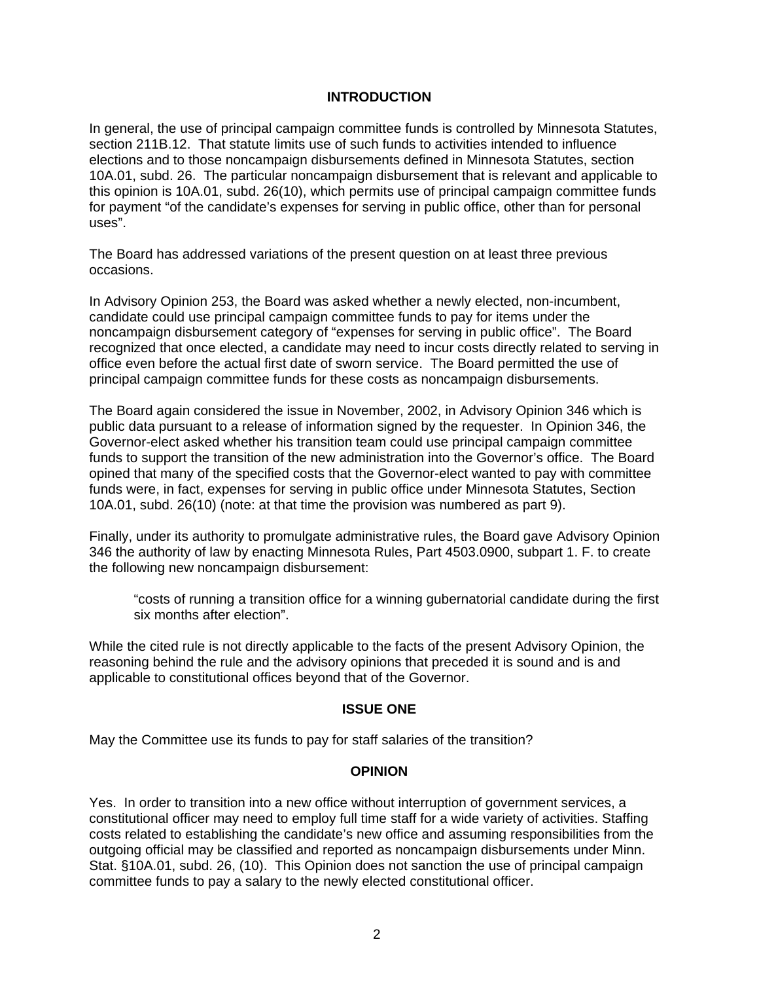## **INTRODUCTION**

In general, the use of principal campaign committee funds is controlled by Minnesota Statutes, section 211B.12. That statute limits use of such funds to activities intended to influence elections and to those noncampaign disbursements defined in Minnesota Statutes, section 10A.01, subd. 26. The particular noncampaign disbursement that is relevant and applicable to this opinion is 10A.01, subd. 26(10), which permits use of principal campaign committee funds for payment "of the candidate's expenses for serving in public office, other than for personal uses".

The Board has addressed variations of the present question on at least three previous occasions.

In Advisory Opinion 253, the Board was asked whether a newly elected, non-incumbent, candidate could use principal campaign committee funds to pay for items under the noncampaign disbursement category of "expenses for serving in public office". The Board recognized that once elected, a candidate may need to incur costs directly related to serving in office even before the actual first date of sworn service. The Board permitted the use of principal campaign committee funds for these costs as noncampaign disbursements.

The Board again considered the issue in November, 2002, in Advisory Opinion 346 which is public data pursuant to a release of information signed by the requester. In Opinion 346, the Governor-elect asked whether his transition team could use principal campaign committee funds to support the transition of the new administration into the Governor's office. The Board opined that many of the specified costs that the Governor-elect wanted to pay with committee funds were, in fact, expenses for serving in public office under Minnesota Statutes, Section 10A.01, subd. 26(10) (note: at that time the provision was numbered as part 9).

Finally, under its authority to promulgate administrative rules, the Board gave Advisory Opinion 346 the authority of law by enacting Minnesota Rules, Part 4503.0900, subpart 1. F. to create the following new noncampaign disbursement:

"costs of running a transition office for a winning gubernatorial candidate during the first six months after election".

While the cited rule is not directly applicable to the facts of the present Advisory Opinion, the reasoning behind the rule and the advisory opinions that preceded it is sound and is and applicable to constitutional offices beyond that of the Governor.

### **ISSUE ONE**

May the Committee use its funds to pay for staff salaries of the transition?

### **OPINION**

Yes. In order to transition into a new office without interruption of government services, a constitutional officer may need to employ full time staff for a wide variety of activities. Staffing costs related to establishing the candidate's new office and assuming responsibilities from the outgoing official may be classified and reported as noncampaign disbursements under Minn. Stat. §10A.01, subd. 26, (10). This Opinion does not sanction the use of principal campaign committee funds to pay a salary to the newly elected constitutional officer.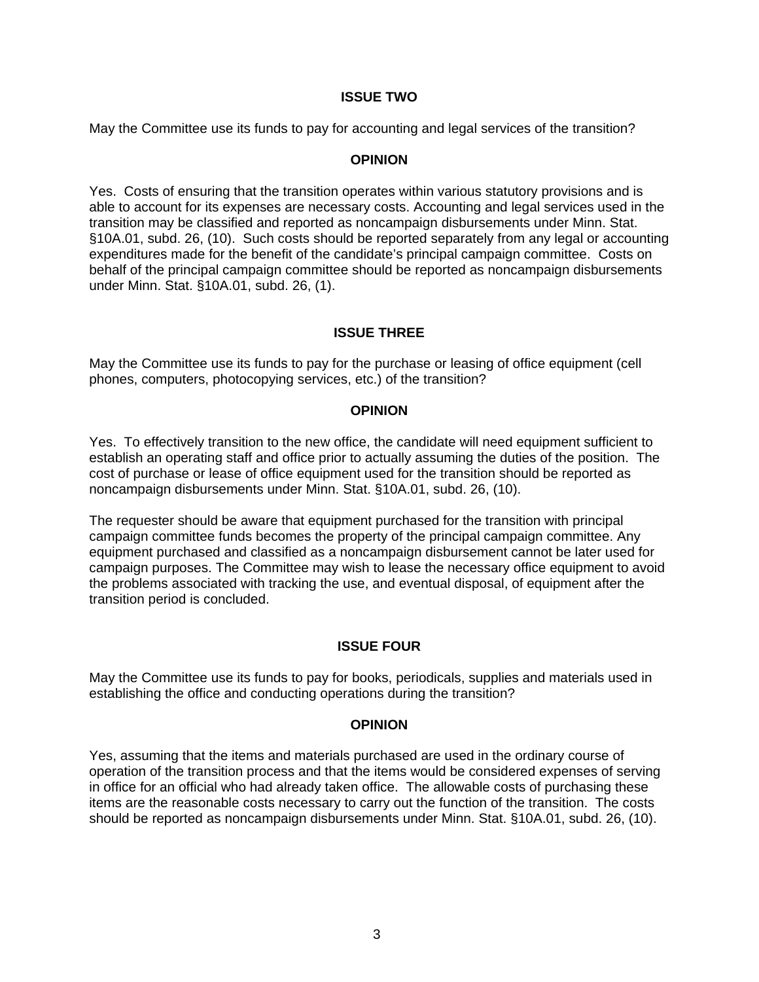### **ISSUE TWO**

May the Committee use its funds to pay for accounting and legal services of the transition?

## **OPINION**

Yes. Costs of ensuring that the transition operates within various statutory provisions and is able to account for its expenses are necessary costs. Accounting and legal services used in the transition may be classified and reported as noncampaign disbursements under Minn. Stat. §10A.01, subd. 26, (10). Such costs should be reported separately from any legal or accounting expenditures made for the benefit of the candidate's principal campaign committee. Costs on behalf of the principal campaign committee should be reported as noncampaign disbursements under Minn. Stat. §10A.01, subd. 26, (1).

# **ISSUE THREE**

May the Committee use its funds to pay for the purchase or leasing of office equipment (cell phones, computers, photocopying services, etc.) of the transition?

## **OPINION**

Yes. To effectively transition to the new office, the candidate will need equipment sufficient to establish an operating staff and office prior to actually assuming the duties of the position. The cost of purchase or lease of office equipment used for the transition should be reported as noncampaign disbursements under Minn. Stat. §10A.01, subd. 26, (10).

The requester should be aware that equipment purchased for the transition with principal campaign committee funds becomes the property of the principal campaign committee. Any equipment purchased and classified as a noncampaign disbursement cannot be later used for campaign purposes. The Committee may wish to lease the necessary office equipment to avoid the problems associated with tracking the use, and eventual disposal, of equipment after the transition period is concluded.

## **ISSUE FOUR**

May the Committee use its funds to pay for books, periodicals, supplies and materials used in establishing the office and conducting operations during the transition?

### **OPINION**

Yes, assuming that the items and materials purchased are used in the ordinary course of operation of the transition process and that the items would be considered expenses of serving in office for an official who had already taken office. The allowable costs of purchasing these items are the reasonable costs necessary to carry out the function of the transition. The costs should be reported as noncampaign disbursements under Minn. Stat. §10A.01, subd. 26, (10).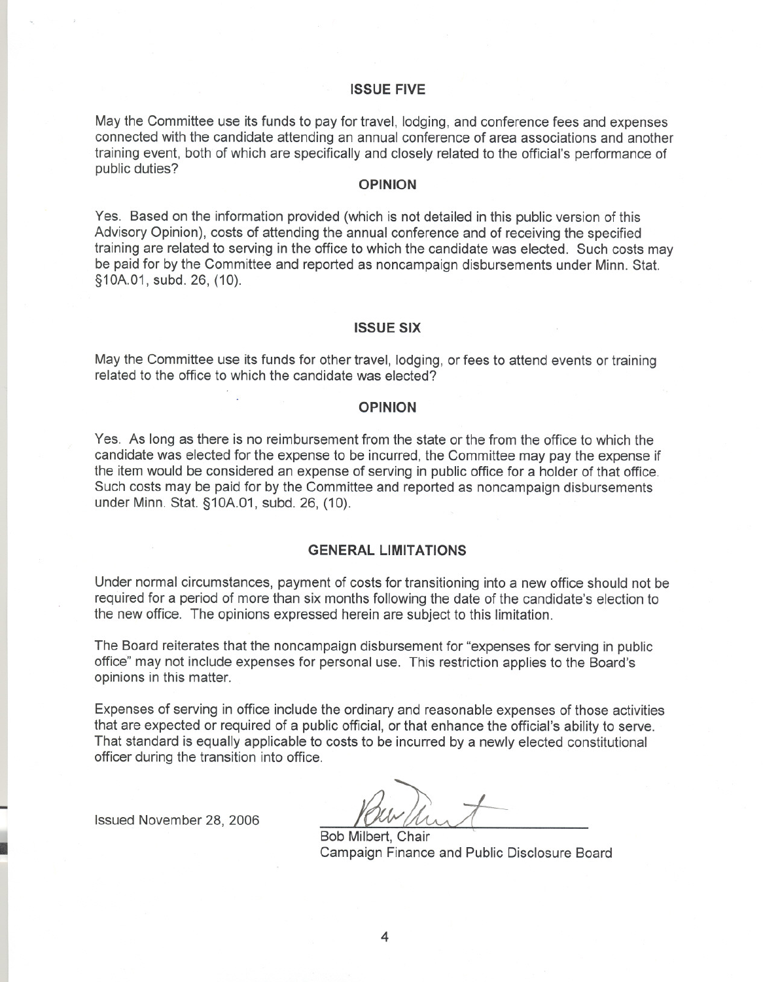#### **ISSUE FIVE**

May the Committee use its funds to pay for travel, lodging, and conference fees and expenses connected with the candidate attending an annual conference of area associations and another training event, both of which are specifically and closely related to the official's performance of public duties?

#### **OPINION**

Yes. Based on the information provided (which is not detailed in this public version of this Advisory Opinion), costs of attending the annual conference and of receiving the specified training are related to serving in the office to which the candidate was elected. Such costs may be paid for by the Committee and reported as noncampaign disbursements under Minn. Stat. §10A.01, subd. 26, (10).

#### **ISSUE SIX**

May the Committee use its funds for other travel, lodging, or fees to attend events or training related to the office to which the candidate was elected?

#### **OPINION**

Yes. As long as there is no reimbursement from the state or the from the office to which the candidate was elected for the expense to be incurred, the Committee may pay the expense if the item would be considered an expense of serving in public office for a holder of that office. Such costs may be paid for by the Committee and reported as noncampaign disbursements under Minn. Stat. §1OA.01, subd. 26, (10).

#### **GENERAL LIMITATIONS**

Under normal circumstances, payment of costs for transitioning into a new office should not be required for a period of more than six months following the date of the candidate's election to the new office. The opinions expressed herein are subject to this limitation.

The Board reiterates that the noncampaign disbursement for "expenses for serving in public office" may not include expenses for personal use. This restriction applies to the Board's opinions in this matter.

Expenses of serving in office include the ordinary and reasonable expenses of those activities that are expected or required of a public official, or that enhance the official's ability to serve. That standard is equally applicable to costs to be incurred by a newly elected constitutional officer during the transition into office.

Issued November 28, 2006

Bob Milbert, Chair Campaign Finance and Public Disclosure Board